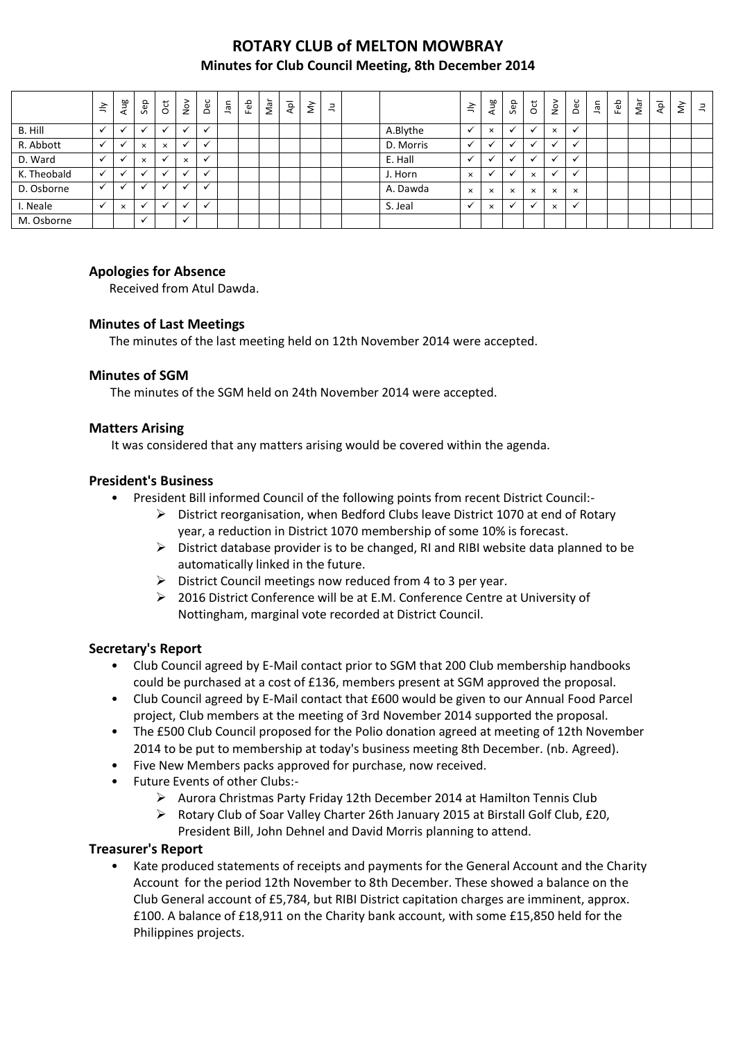# **ROTARY CLUB of MELTON MOWBRAY Minutes for Club Council Meeting, 8th December 2014**

|             | $\leq$       | Aug          | Sep                  | ğ        | $\frac{5}{2}$            | Dec          | <b>Jan</b> | Feb | Nar | Apl | $\check{\varepsilon}$ | $\equiv$ |           | $\tilde{=}$  | Ρg<br>$\tau$         | Sep      | $\overline{\mathrm{c}}$ | $\frac{8}{2}$ | Dec                  | $\bar{a}$ | Feb | Nar | $\overline{\mathsf{A}}\mathsf{p}\mathsf{I}$ | $\check{\mathsf{s}}$ | $\exists$ |
|-------------|--------------|--------------|----------------------|----------|--------------------------|--------------|------------|-----|-----|-----|-----------------------|----------|-----------|--------------|----------------------|----------|-------------------------|---------------|----------------------|-----------|-----|-----|---------------------------------------------|----------------------|-----------|
| B. Hill     | $\checkmark$ | $\checkmark$ | $\ddot{\phantom{0}}$ | ◡        | $\overline{ }$           | ✔            |            |     |     |     |                       |          | A.Blythe  | $\checkmark$ | $\times$             | v        | $\cdot$                 | $\times$      | $\checkmark$         |           |     |     |                                             |                      |           |
| R. Abbott   | $\checkmark$ | $\checkmark$ | $\times$             | $\times$ | $\overline{ }$           | $\check{ }$  |            |     |     |     |                       |          | D. Morris | v            |                      |          |                         | $\checkmark$  | $\checkmark$         |           |     |     |                                             |                      |           |
| D. Ward     | $\checkmark$ | $\checkmark$ | $\times$             |          | $\times$                 | $\check{ }$  |            |     |     |     |                       |          | E. Hall   |              |                      |          |                         | ◡             | $\ddot{\phantom{0}}$ |           |     |     |                                             |                      |           |
| K. Theobald | $\checkmark$ |              |                      |          |                          |              |            |     |     |     |                       |          | J. Horn   | $\times$     | $\ddot{\phantom{0}}$ |          | $\times$                | $\checkmark$  | $\checkmark$         |           |     |     |                                             |                      |           |
| D. Osborne  | $\checkmark$ | v            | <b>M</b>             | - 11     |                          | $\cdot$      |            |     |     |     |                       |          | A. Dawda  | $\times$     | $\times$             | $\times$ | $\times$                | $\times$      | $\times$             |           |     |     |                                             |                      |           |
| I. Neale    | $\sim$       | $\times$     | $\checkmark$         | ◡        | $\overline{\phantom{a}}$ | $\checkmark$ |            |     |     |     |                       |          | S. Jeal   |              | $\times$             |          | $\ddot{\phantom{0}}$    | $\times$      | $\checkmark$         |           |     |     |                                             |                      |           |
| M. Osborne  |              |              | $\checkmark$         |          | $\checkmark$             |              |            |     |     |     |                       |          |           |              |                      |          |                         |               |                      |           |     |     |                                             |                      |           |

# **Apologies for Absence**

Received from Atul Dawda.

#### **Minutes of Last Meetings**

The minutes of the last meeting held on 12th November 2014 were accepted.

#### **Minutes of SGM**

The minutes of the SGM held on 24th November 2014 were accepted.

#### **Matters Arising**

It was considered that any matters arising would be covered within the agenda.

#### **President's Business**

- President Bill informed Council of the following points from recent District Council:-
	- $\triangleright$  District reorganisation, when Bedford Clubs leave District 1070 at end of Rotary year, a reduction in District 1070 membership of some 10% is forecast.
	- $\triangleright$  District database provider is to be changed, RI and RIBI website data planned to be automatically linked in the future.
	- $\triangleright$  District Council meetings now reduced from 4 to 3 per year.
	- 2016 District Conference will be at E.M. Conference Centre at University of Nottingham, marginal vote recorded at District Council.

# **Secretary's Report**

- Club Council agreed by E-Mail contact prior to SGM that 200 Club membership handbooks could be purchased at a cost of £136, members present at SGM approved the proposal.
- Club Council agreed by E-Mail contact that £600 would be given to our Annual Food Parcel project, Club members at the meeting of 3rd November 2014 supported the proposal.
- The £500 Club Council proposed for the Polio donation agreed at meeting of 12th November 2014 to be put to membership at today's business meeting 8th December. (nb. Agreed).
- Five New Members packs approved for purchase, now received.
- Future Events of other Clubs:-
	- Aurora Christmas Party Friday 12th December 2014 at Hamilton Tennis Club
	- $\triangleright$  Rotary Club of Soar Valley Charter 26th January 2015 at Birstall Golf Club, £20, President Bill, John Dehnel and David Morris planning to attend.

#### **Treasurer's Report**

• Kate produced statements of receipts and payments for the General Account and the Charity Account for the period 12th November to 8th December. These showed a balance on the Club General account of £5,784, but RIBI District capitation charges are imminent, approx. £100. A balance of £18,911 on the Charity bank account, with some £15,850 held for the Philippines projects.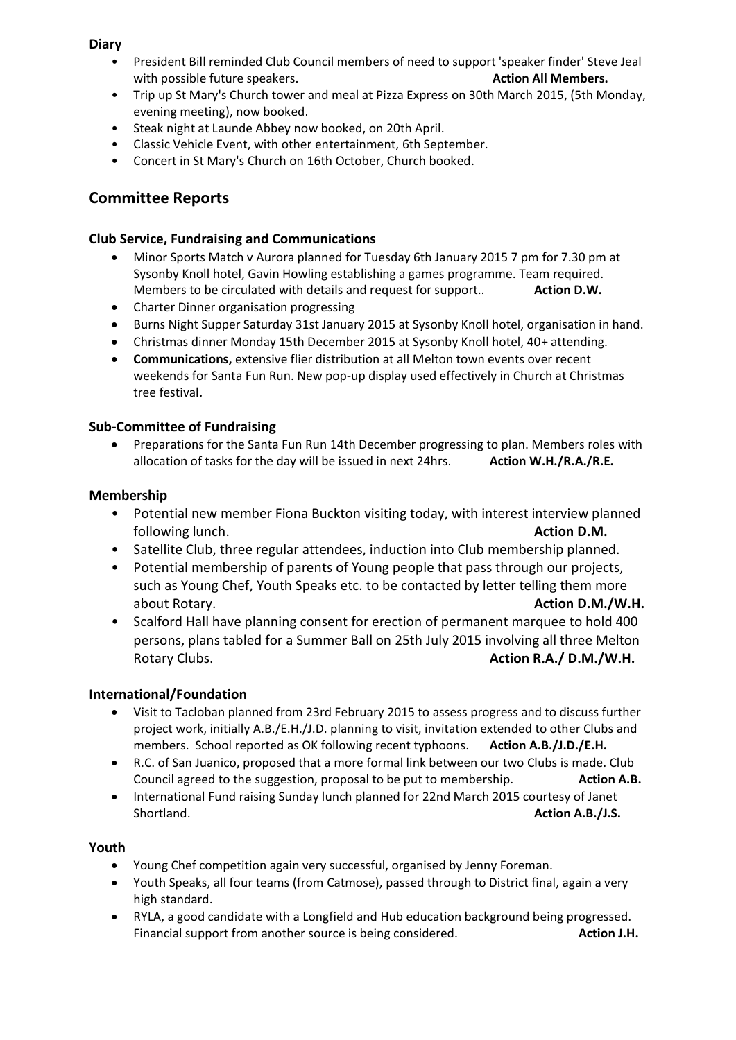# **Diary**

- President Bill reminded Club Council members of need to support 'speaker finder' Steve Jeal with possible future speakers. **Action All Members. Action All Members.**
- Trip up St Mary's Church tower and meal at Pizza Express on 30th March 2015, (5th Monday, evening meeting), now booked.
- Steak night at Launde Abbey now booked, on 20th April.
- Classic Vehicle Event, with other entertainment, 6th September.
- Concert in St Mary's Church on 16th October, Church booked.

# **Committee Reports**

# **Club Service, Fundraising and Communications**

- Minor Sports Match v Aurora planned for Tuesday 6th January 2015 7 pm for 7.30 pm at Sysonby Knoll hotel, Gavin Howling establishing a games programme. Team required. Members to be circulated with details and request for support.. **Action D.W.**
- Charter Dinner organisation progressing
- Burns Night Supper Saturday 31st January 2015 at Sysonby Knoll hotel, organisation in hand.
- Christmas dinner Monday 15th December 2015 at Sysonby Knoll hotel, 40+ attending.
- **Communications,** extensive flier distribution at all Melton town events over recent weekends for Santa Fun Run. New pop-up display used effectively in Church at Christmas tree festival**.**

# **Sub-Committee of Fundraising**

 Preparations for the Santa Fun Run 14th December progressing to plan. Members roles with allocation of tasks for the day will be issued in next 24hrs. **Action W.H./R.A./R.E.**

# **Membership**

- Potential new member Fiona Buckton visiting today, with interest interview planned following lunch. **Action D.M.**
- Satellite Club, three regular attendees, induction into Club membership planned.
- Potential membership of parents of Young people that pass through our projects, such as Young Chef, Youth Speaks etc. to be contacted by letter telling them more about Rotary. **Action D.M./W.H.**
- Scalford Hall have planning consent for erection of permanent marquee to hold 400 persons, plans tabled for a Summer Ball on 25th July 2015 involving all three Melton Rotary Clubs. **Action R.A./ D.M./W.H. Action R.A./ D.M./W.H.**

# **International/Foundation**

- Visit to Tacloban planned from 23rd February 2015 to assess progress and to discuss further project work, initially A.B./E.H./J.D. planning to visit, invitation extended to other Clubs and members. School reported as OK following recent typhoons. **Action A.B./J.D./E.H.**
- R.C. of San Juanico, proposed that a more formal link between our two Clubs is made. Club Council agreed to the suggestion, proposal to be put to membership. **Action A.B.**
- International Fund raising Sunday lunch planned for 22nd March 2015 courtesy of Janet Shortland. **Action A.B./J.S. Action A.B./J.S. Action A.B./J.S. Action A.B.**

#### **Youth**

- Young Chef competition again very successful, organised by Jenny Foreman.
- Youth Speaks, all four teams (from Catmose), passed through to District final, again a very high standard.
- RYLA, a good candidate with a Longfield and Hub education background being progressed. Financial support from another source is being considered. **Action J.H. Action J.H.**